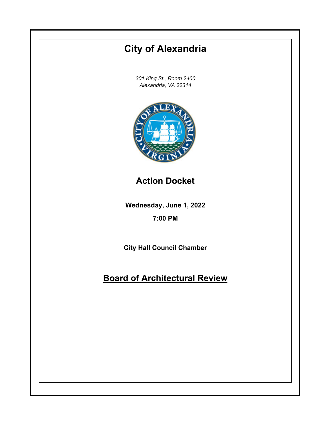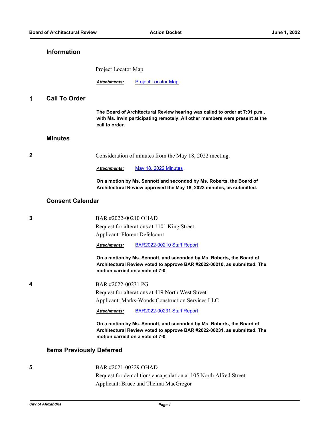## **Information**

Project Locator Map

**Attachments:** [Project Locator Map](http://alexandria.legistar.com/gateway.aspx?M=F&ID=63bdfe18-f593-4c14-90d1-e0ab10f4d10d.jpg)

## **1 Call To Order**

**The Board of Architectural Review hearing was called to order at 7:01 p.m., with Ms. Irwin participating remotely. All other members were present at the call to order.**

## **Minutes**

**2** Consideration of minutes from the May 18, 2022 meeting.

*Attachments:* [May 18, 2022 Minutes](http://alexandria.legistar.com/gateway.aspx?M=F&ID=c77f5688-80d1-4282-83c1-20a1383a1bc0.pdf)

**On a motion by Ms. Sennott and seconded by Ms. Roberts, the Board of Architectural Review approved the May 18, 2022 minutes, as submitted.**

## **Consent Calendar**

| 3 | BAR #2022-00210 OHAD                                                                                                                                                                  |
|---|---------------------------------------------------------------------------------------------------------------------------------------------------------------------------------------|
|   | Request for alterations at 1101 King Street.                                                                                                                                          |
|   | Applicant: Florent Defelcourt                                                                                                                                                         |
|   | BAR2022-00210 Staff Report<br>Attachments:                                                                                                                                            |
|   | On a motion by Ms. Sennott, and seconded by Ms. Roberts, the Board of<br>Architectural Review voted to approve BAR #2022-00210, as submitted. The<br>motion carried on a vote of 7-0. |
| 4 | BAR #2022-00231 PG                                                                                                                                                                    |
|   | Request for alterations at 419 North West Street.                                                                                                                                     |
|   | Applicant: Marks-Woods Construction Services LLC                                                                                                                                      |
|   | BAR2022-00231 Staff Report<br>Attachments:                                                                                                                                            |
|   | On a motion by Ms. Sennott, and seconded by Ms. Roberts, the Board of<br>Architectural Review voted to approve BAR #2022-00231, as submitted. The<br>motion carried on a vote of 7-0. |
|   | <b>Items Previously Deferred</b>                                                                                                                                                      |
| 5 | BAR #2021-00329 OHAD                                                                                                                                                                  |

Request for demolition/ encapsulation at 105 North Alfred Street. Applicant: Bruce and Thelma MacGregor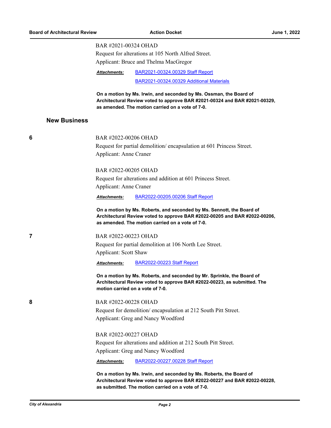### BAR #2021-00324 OHAD

Request for alterations at 105 North Alfred Street. Applicant: Bruce and Thelma MacGregor

[BAR2021-00324.00329 Staff Report](http://alexandria.legistar.com/gateway.aspx?M=F&ID=2f38043c-1f98-4b32-b46d-92e46d457898.pdf) *Attachments:*

[BAR2021-00324.00329 Additional Materials](http://alexandria.legistar.com/gateway.aspx?M=F&ID=bad45f28-94f6-464b-b348-28c75cc09471.pdf)

**On a motion by Ms. Irwin, and seconded by Ms. Ossman, the Board of Architectural Review voted to approve BAR #2021-00324 and BAR #2021-00329, as amended. The motion carried on a vote of 7-0.**

### **New Business**

# **6** BAR #2022-00206 OHAD Request for partial demolition/ encapsulation at 601 Princess Street. Applicant: Anne Craner BAR #2022-00205 OHAD Request for alterations and addition at 601 Princess Street. Applicant: Anne Craner *Attachments:* [BAR2022-00205.00206 Staff Report](http://alexandria.legistar.com/gateway.aspx?M=F&ID=071b5f25-3a11-4616-87d2-5e18e2868431.pdf) **On a motion by Ms. Roberts, and seconded by Ms. Sennott, the Board of Architectural Review voted to approve BAR #2022-00205 and BAR #2022-00206, as amended. The motion carried on a vote of 7-0. 7** BAR #2022-00223 OHAD Request for partial demolition at 106 North Lee Street. Applicant: Scott Shaw

*Attachments:* [BAR2022-00223 Staff Report](http://alexandria.legistar.com/gateway.aspx?M=F&ID=5c1dcc9e-926d-4246-8bf6-8c86e56a25f3.pdf)

**On a motion by Ms. Roberts, and seconded by Mr. Sprinkle, the Board of Architectural Review voted to approve BAR #2022-00223, as submitted. The motion carried on a vote of 7-0.**

**8** BAR #2022-00228 OHAD Request for demolition/ encapsulation at 212 South Pitt Street. Applicant: Greg and Nancy Woodford

> BAR #2022-00227 OHAD Request for alterations and addition at 212 South Pitt Street. Applicant: Greg and Nancy Woodford

*Attachments:* [BAR2022-00227.00228 Staff Report](http://alexandria.legistar.com/gateway.aspx?M=F&ID=acf41719-311e-4d87-997d-48f2e25b5658.pdf)

**On a motion by Ms. Irwin, and seconded by Ms. Roberts, the Board of Architectural Review voted to approve BAR #2022-00227 and BAR #2022-00228, as submitted. The motion carried on a vote of 7-0.**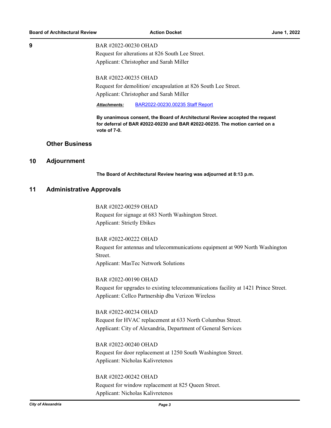#### **9** BAR #2022-00230 OHAD

Request for alterations at 826 South Lee Street. Applicant: Christopher and Sarah Miller

### BAR #2022-00235 OHAD

Request for demolition/ encapsulation at 826 South Lee Street. Applicant: Christopher and Sarah Miller

*Attachments:* [BAR2022-00230.00235 Staff Report](http://alexandria.legistar.com/gateway.aspx?M=F&ID=487c8b29-b9e7-4f67-8271-cc078a5bb8b7.pdf)

**By unanimous consent, the Board of Architectural Review accepted the request for deferral of BAR #2022-00230 and BAR #2022-00235. The motion carried on a vote of 7-0.**

## **Other Business**

### **10 Adjournment**

**The Board of Architectural Review hearing was adjourned at 8:13 p.m.**

### **11 Administrative Approvals**

BAR #2022-00259 OHAD Request for signage at 683 North Washington Street. Applicant: Strictly Ebikes

BAR #2022-00222 OHAD Request for antennas and telecommunications equipment at 909 North Washington Street. Applicant: MasTec Network Solutions

BAR #2022-00190 OHAD Request for upgrades to existing telecommunications facility at 1421 Prince Street. Applicant: Cellco Partnership dba Verizon Wireless

BAR #2022-00234 OHAD Request for HVAC replacement at 633 North Columbus Street. Applicant: City of Alexandria, Department of General Services

BAR #2022-00240 OHAD Request for door replacement at 1250 South Washington Street. Applicant: Nicholas Kalivretenos

BAR #2022-00242 OHAD Request for window replacement at 825 Queen Street. Applicant: Nicholas Kalivretenos